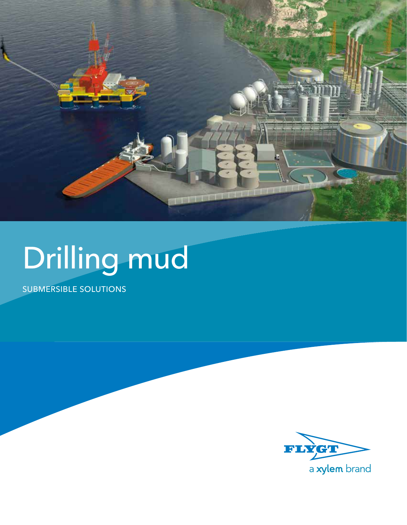

# Drilling mud

SUBMERSIBLE SOLUTIONS

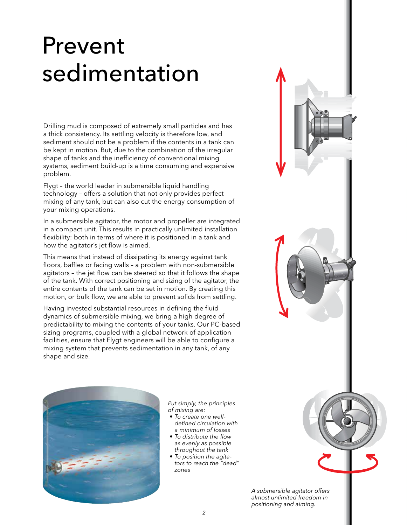## Prevent sedimentation

Drilling mud is composed of extremely small particles and has a thick consistency. Its settling velocity is therefore low, and sediment should not be a problem if the contents in a tank can be kept in motion. But, due to the combination of the irregular shape of tanks and the inefficiency of conventional mixing systems, sediment build-up is a time consuming and expensive problem.

Flygt – the world leader in submersible liquid handling technology – offers a solution that not only provides perfect mixing of any tank, but can also cut the energy consumption of your mixing operations.

In a submersible agitator, the motor and propeller are integrated in a compact unit. This results in practically unlimited installation flexibility: both in terms of where it is positioned in a tank and how the agitator's jet flow is aimed.

This means that instead of dissipating its energy against tank floors, baffles or facing walls – a problem with non-submersible agitators – the jet flow can be steered so that it follows the shape of the tank. With correct positioning and sizing of the agitator, the entire contents of the tank can be set in motion. By creating this motion, or bulk flow, we are able to prevent solids from settling.

Having invested substantial resources in defining the fluid dynamics of submersible mixing, we bring a high degree of predictability to mixing the contents of your tanks. Our PC-based sizing programs, coupled with a global network of application facilities, ensure that Flygt engineers will be able to configure a mixing system that prevents sedimentation in any tank, of any shape and size.



*Put simply, the principles of mixing are:* 

- *• To create one welldefined circulation with a minimum of losses*
- *• To distribute the flow as evenly as possible throughout the tank*
- *• To position the agitators to reach the "dead" zones*

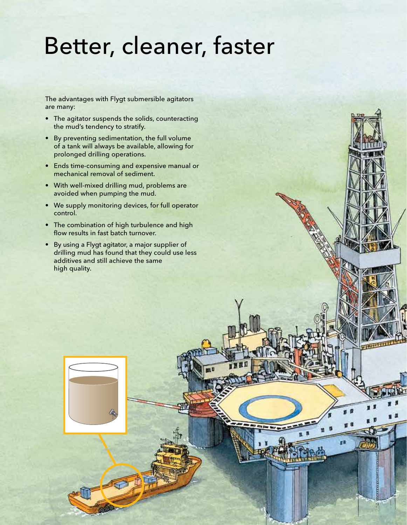### Better, cleaner, faster

The advantages with Flygt submersible agitators are many:

- The agitator suspends the solids, counteracting the mud's tendency to stratify.
- By preventing sedimentation, the full volume of a tank will always be available, allowing for prolonged drilling operations.
- Ends time-consuming and expensive manual or mechanical removal of sediment.
- With well-mixed drilling mud, problems are avoided when pumping the mud.
- We supply monitoring devices, for full operator control.
- The combination of high turbulence and high flow results in fast batch turnover.
- By using a Flygt agitator, a major supplier of drilling mud has found that they could use less additives and still achieve the same high quality.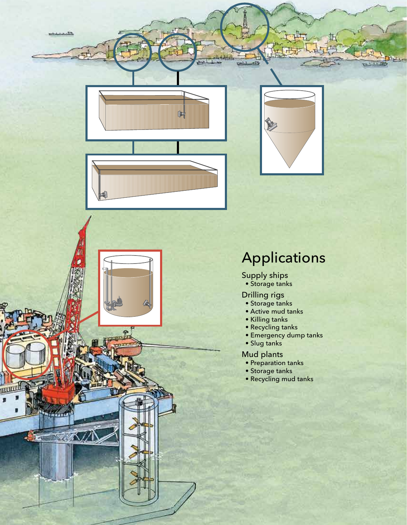



### Applications

Supply ships • Storage tanks

Drilling rigs

- Storage tanks
- Active mud tanks
- Killing tanks
- Recycling tanks
- Emergency dump tanks
- Slug tanks

#### Mud plants

- Preparation tanks
- Storage tanks
- Recycling mud tanks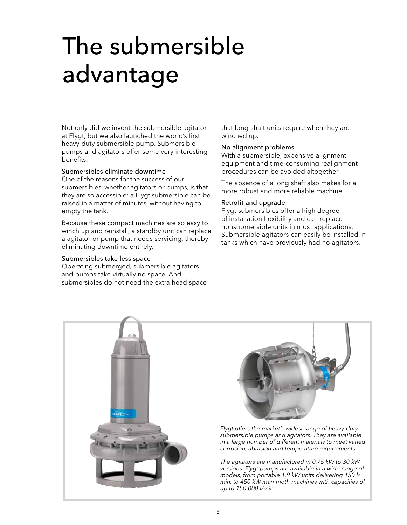## The submersible advantage

Not only did we invent the submersible agitator at Flygt, but we also launched the world's first heavy-duty submersible pump. Submersible pumps and agitators offer some very interesting benefits:

#### Submersibles eliminate downtime

One of the reasons for the success of our submersibles, whether agitators or pumps, is that they are so accessible: a Flygt submersible can be raised in a matter of minutes, without having to empty the tank.

Because these compact machines are so easy to winch up and reinstall, a standby unit can replace a agitator or pump that needs servicing, thereby eliminating downtime entirely.

#### Submersibles take less space

Operating submerged, submersible agitators and pumps take virtually no space. And submersibles do not need the extra head space that long-shaft units require when they are winched up.

#### No alignment problems

With a submersible, expensive alignment equipment and time-consuming realignment procedures can be avoided altogether.

The absence of a long shaft also makes for a more robust and more reliable machine.

#### Retrofit and upgrade

Flygt submersibles offer a high degree of installation flexibility and can replace nonsubmersible units in most applications. Submersible agitators can easily be installed in tanks which have previously had no agitators.





*Flygt offers the market's widest range of heavy-duty submersible pumps and agitators. They are available in a large number of different materials to meet varied corrosion, abrasion and temperature requirements.* 

*The agitators are manufactured in 0.75 kW to 30 kW versions. Flygt pumps are available in a wide range of models, from portable 1.9 kW units delivering 150 l/ min, to 450 kW mammoth machines with capacities of up to 150 000 l/min.*